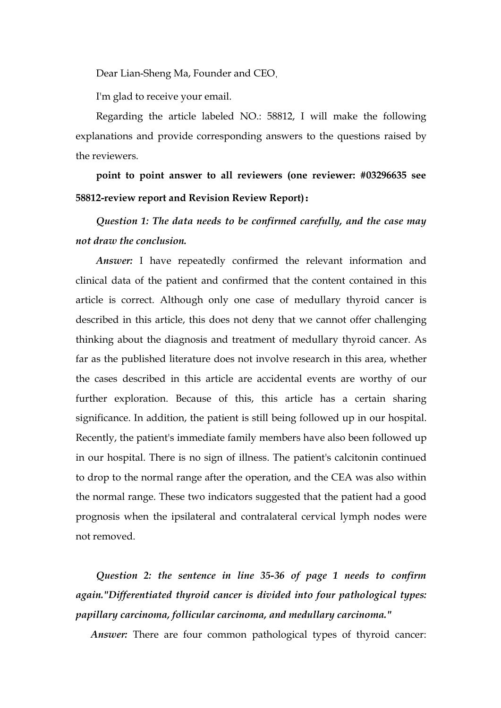Dear Lian-Sheng Ma, Founder and CEO,

I'm glad to receive your email.

Regarding the article labeled NO.: 58812, I will make the following explanations and provide corresponding answers to the questions raised by the reviewers.

**point to point answer to all reviewers (one reviewer:#03296635 see 58812-review report and Revision Review Report):**

*Question 1: The data needs to be confirmed carefully, and the case may not draw the conclusion.*

*Answer:* I have repeatedly confirmed the relevant information and clinical data of the patient and confirmed that the content contained in this article is correct. Although only one case of medullary thyroid cancer is described in this article, this does not deny that we cannot offer challenging thinking about the diagnosis and treatment of medullary thyroid cancer. As far as the published literature does not involve research in this area, whether the cases described in this article are accidental events are worthy of our further exploration. Because of this, this article has a certain sharing significance. In addition, the patient is still being followed up in our hospital. Recently, the patient's immediate family members have also been followed up in our hospital. There is no sign of illness. The patient's calcitonin continued to drop to the normal range after the operation, and the CEA was also within the normal range. These two indicators suggested that the patient had a good prognosis when the ipsilateral and contralateral cervical lymph nodes were not removed.

*Question 2: the sentence in line 35-36 of page 1 needs to confirm again."Differentiated thyroid canceris divided into four pathological types: papillary carcinoma, follicular carcinoma, and medullary carcinoma."*

*Answer:* There are four common pathological types of thyroid cancer: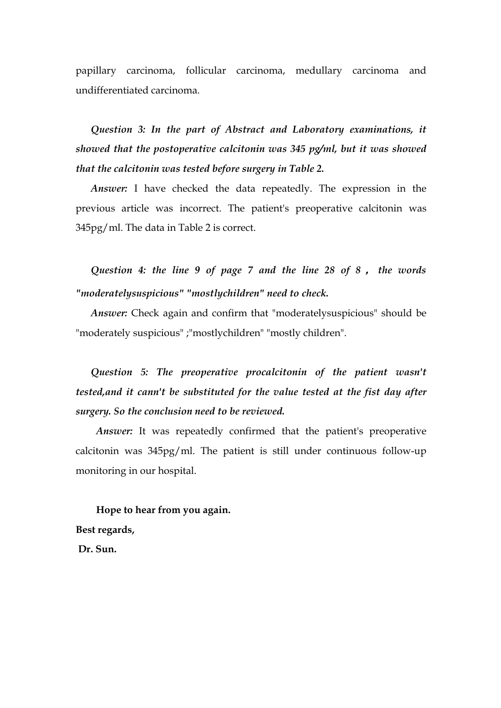papillary carcinoma, follicular carcinoma, medullary carcinoma and undifferentiated carcinoma.

*Question 3: In the part of Abstract and Laboratory examinations, it showed that the postoperative calcitonin was345 pg/ml, but it was showed that the calcitonin was tested before surgery in Table 2.*

*Answer:* I have checked the data repeatedly. The expression in the previous article was incorrect. The patient's preoperative calcitonin was 345pg/ml. The data in Table 2 is correct.

*Question 4: the line 9 of page 7 and the line 28 of 8* **,** *the words "moderatelysuspicious" "mostlychildren" need to check.*

*Answer:* Check again and confirm that "moderatelysuspicious" should be "moderately suspicious" ;"mostlychildren" "mostly children".

*Question 5: The preoperative procalcitonin of the patient wasn't tested,and it cann't be substituted for the value tested at the fist day after surgery. So the conclusion need to be reviewed.*

*Answer:* It was repeatedly confirmed that the patient's preoperative calcitonin was 345pg/ml. The patient is still under continuous follow-up monitoring in our hospital.

**Hope to hear from you again. Best regards, Dr. Sun.**